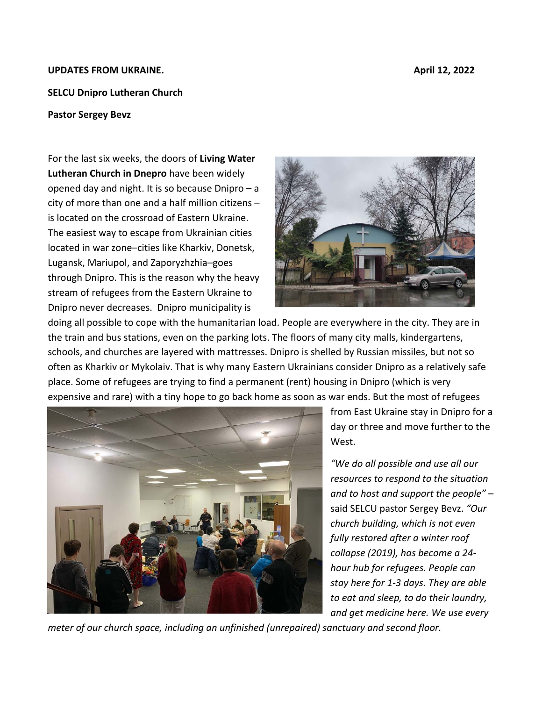## **UPDATES FROM UKRAINE. April 12, 2022**

## **SELCU Dnipro Lutheran Church**

## **Pastor Sergey Bevz**

For the last six weeks, the doors of **Living Water Lutheran Church in Dnepro** have been widely opened day and night. It is so because Dnipro – a city of more than one and a half million citizens – is located on the crossroad of Eastern Ukraine. The easiest way to escape from Ukrainian cities located in war zone–cities like Kharkiv, Donetsk, Lugansk, Mariupol, and Zaporyzhzhia–goes through Dnipro. This is the reason why the heavy stream of refugees from the Eastern Ukraine to Dnipro never decreases. Dnipro municipality is



doing all possible to cope with the humanitarian load. People are everywhere in the city. They are in the train and bus stations, even on the parking lots. The floors of many city malls, kindergartens, schools, and churches are layered with mattresses. Dnipro is shelled by Russian missiles, but not so often as Kharkiv or Mykolaiv. That is why many Eastern Ukrainians consider Dnipro as a relatively safe place. Some of refugees are trying to find a permanent (rent) housing in Dnipro (which is very expensive and rare) with a tiny hope to go back home as soon as war ends. But the most of refugees



from East Ukraine stay in Dnipro for a day or three and move further to the West.

*"We do all possible and use all our resources to respond to the situation and to host and support the people"* – said SELCU pastor Sergey Bevz. *"Our church building, which is not even fully restored after a winter roof collapse (2019), has become a 24‐ hour hub for refugees. People can stay here for 1‐3 days. They are able to eat and sleep, to do their laundry, and get medicine here. We use every* 

*meter of our church space, including an unfinished (unrepaired) sanctuary and second floor.*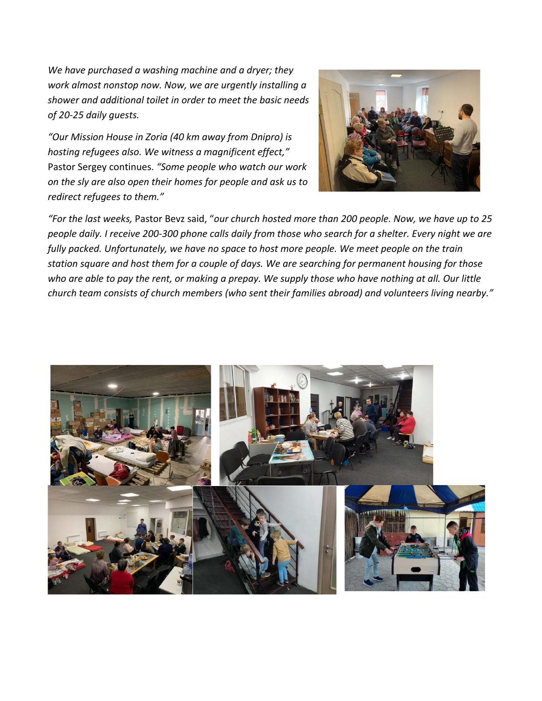*We have purchased a washing machine and a dryer; they work almost nonstop now. Now, we are urgently installing a shower and additional toilet in order to meet the basic needs of 20‐25 daily guests.* 

*"Our Mission House in Zoria (40 km away from Dnipro) is hosting refugees also. We witness a magnificent effect,"*  Pastor Sergey continues. *"Some people who watch our work on the sly are also open their homes for people and ask us to redirect refugees to them."*



*"For the last weeks,* Pastor Bevz said, "*our church hosted more than 200 people. Now, we have up to 25 people daily. I receive 200‐300 phone calls daily from those who search for a shelter. Every night we are fully packed. Unfortunately, we have no space to host more people. We meet people on the train station square and host them for a couple of days. We are searching for permanent housing for those who are able to pay the rent, or making a prepay. We supply those who have nothing at all. Our little church team consists of church members (who sent their families abroad) and volunteers living nearby."* 

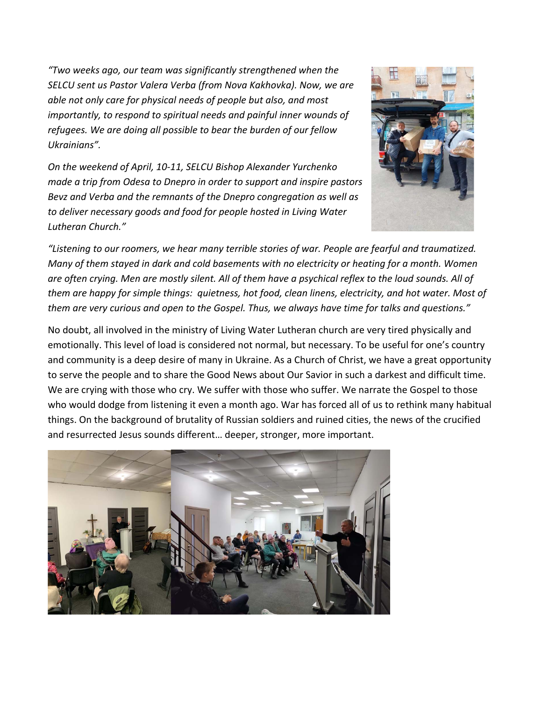*"Two weeks ago, our team was significantly strengthened when the SELCU sent us Pastor Valera Verba (from Nova Kakhovka). Now, we are able not only care for physical needs of people but also, and most importantly, to respond to spiritual needs and painful inner wounds of refugees. We are doing all possible to bear the burden of our fellow Ukrainians".* 

*On the weekend of April, 10‐11, SELCU Bishop Alexander Yurchenko made a trip from Odesa to Dnepro in order to support and inspire pastors Bevz and Verba and the remnants of the Dnepro congregation as well as to deliver necessary goods and food for people hosted in Living Water Lutheran Church."* 



*"Listening to our roomers, we hear many terrible stories of war. People are fearful and traumatized. Many of them stayed in dark and cold basements with no electricity or heating for a month. Women are often crying. Men are mostly silent. All of them have a psychical reflex to the loud sounds. All of them are happy for simple things: quietness, hot food, clean linens, electricity, and hot water. Most of them are very curious and open to the Gospel. Thus, we always have time for talks and questions."* 

No doubt, all involved in the ministry of Living Water Lutheran church are very tired physically and emotionally. This level of load is considered not normal, but necessary. To be useful for one's country and community is a deep desire of many in Ukraine. As a Church of Christ, we have a great opportunity to serve the people and to share the Good News about Our Savior in such a darkest and difficult time. We are crying with those who cry. We suffer with those who suffer. We narrate the Gospel to those who would dodge from listening it even a month ago. War has forced all of us to rethink many habitual things. On the background of brutality of Russian soldiers and ruined cities, the news of the crucified and resurrected Jesus sounds different… deeper, stronger, more important.